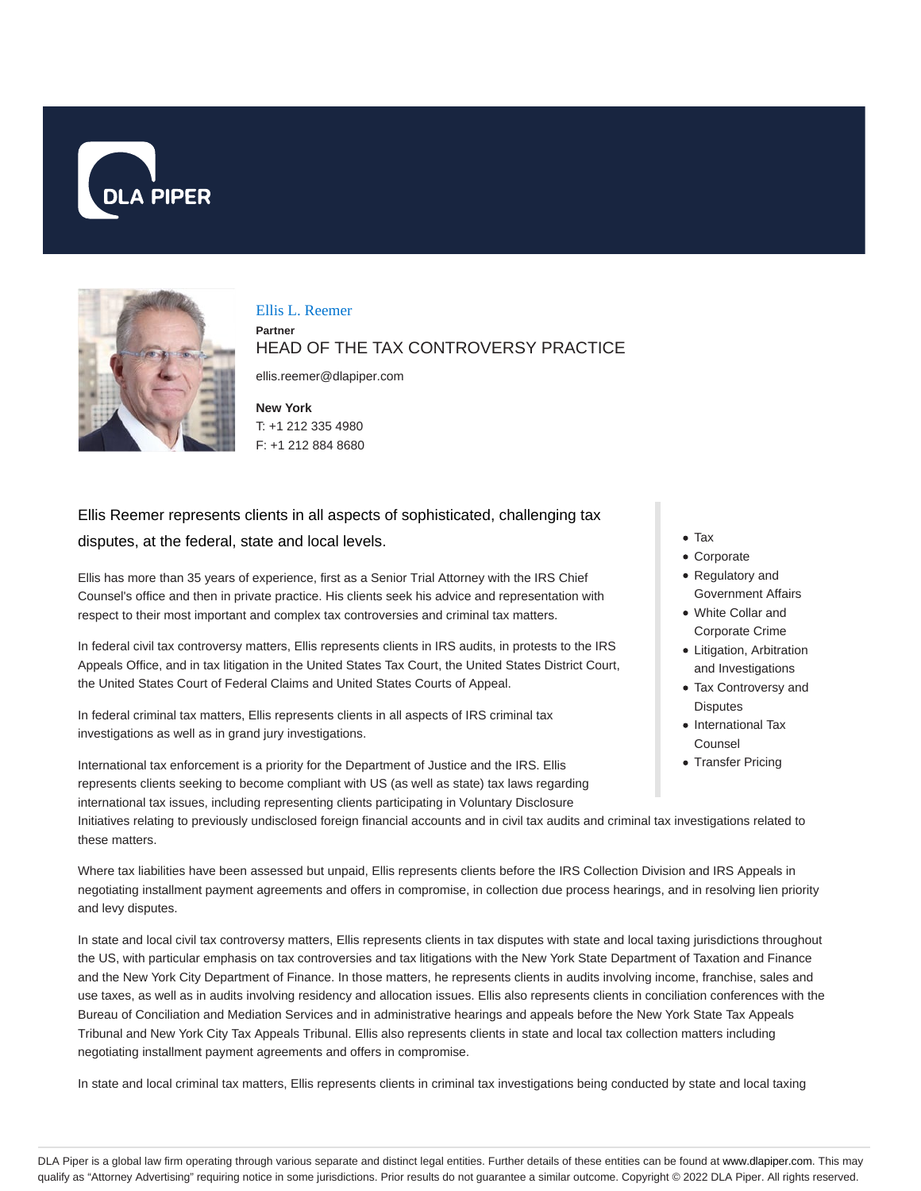



Ellis L. Reemer

**Partner**

## HEAD OF THE TAX CONTROVERSY PRACTICE

ellis.reemer@dlapiper.com

**New York** T: +1 212 335 4980 F: +1 212 884 8680

# Ellis Reemer represents clients in all aspects of sophisticated, challenging tax disputes, at the federal, state and local levels.

Ellis has more than 35 years of experience, first as a Senior Trial Attorney with the IRS Chief Counsel's office and then in private practice. His clients seek his advice and representation with respect to their most important and complex tax controversies and criminal tax matters.

In federal civil tax controversy matters, Ellis represents clients in IRS audits, in protests to the IRS Appeals Office, and in tax litigation in the United States Tax Court, the United States District Court, the United States Court of Federal Claims and United States Courts of Appeal.

In federal criminal tax matters, Ellis represents clients in all aspects of IRS criminal tax investigations as well as in grand jury investigations.

International tax enforcement is a priority for the Department of Justice and the IRS. Ellis represents clients seeking to become compliant with US (as well as state) tax laws regarding international tax issues, including representing clients participating in Voluntary Disclosure

Tax Corporate

- Regulatory and
- Government Affairs White Collar and
- Corporate Crime
- Litigation, Arbitration and Investigations
- Tax Controversy and **Disputes**
- International Tax Counsel
- Transfer Pricing

Initiatives relating to previously undisclosed foreign financial accounts and in civil tax audits and criminal tax investigations related to these matters.

Where tax liabilities have been assessed but unpaid, Ellis represents clients before the IRS Collection Division and IRS Appeals in negotiating installment payment agreements and offers in compromise, in collection due process hearings, and in resolving lien priority and levy disputes.

In state and local civil tax controversy matters, Ellis represents clients in tax disputes with state and local taxing jurisdictions throughout the US, with particular emphasis on tax controversies and tax litigations with the New York State Department of Taxation and Finance and the New York City Department of Finance. In those matters, he represents clients in audits involving income, franchise, sales and use taxes, as well as in audits involving residency and allocation issues. Ellis also represents clients in conciliation conferences with the Bureau of Conciliation and Mediation Services and in administrative hearings and appeals before the New York State Tax Appeals Tribunal and New York City Tax Appeals Tribunal. Ellis also represents clients in state and local tax collection matters including negotiating installment payment agreements and offers in compromise.

In state and local criminal tax matters, Ellis represents clients in criminal tax investigations being conducted by state and local taxing

DLA Piper is a global law firm operating through various separate and distinct legal entities. Further details of these entities can be found at www.dlapiper.com. This may qualify as "Attorney Advertising" requiring notice in some jurisdictions. Prior results do not guarantee a similar outcome. Copyright © 2022 DLA Piper. All rights reserved.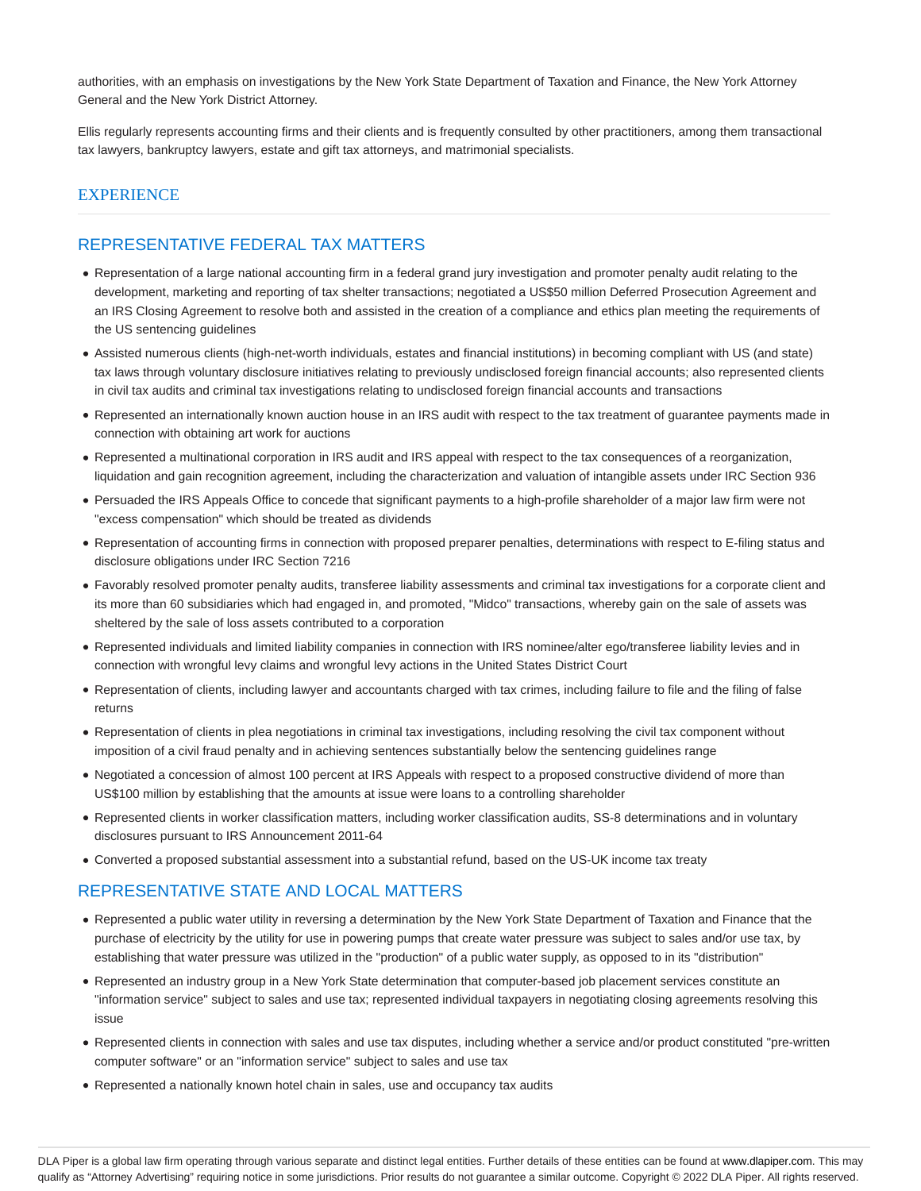authorities, with an emphasis on investigations by the New York State Department of Taxation and Finance, the New York Attorney General and the New York District Attorney.

Ellis regularly represents accounting firms and their clients and is frequently consulted by other practitioners, among them transactional tax lawyers, bankruptcy lawyers, estate and gift tax attorneys, and matrimonial specialists.

## **EXPERIENCE**

## REPRESENTATIVE FEDERAL TAX MATTERS

- Representation of a large national accounting firm in a federal grand jury investigation and promoter penalty audit relating to the development, marketing and reporting of tax shelter transactions; negotiated a US\$50 million Deferred Prosecution Agreement and an IRS Closing Agreement to resolve both and assisted in the creation of a compliance and ethics plan meeting the requirements of the US sentencing guidelines
- Assisted numerous clients (high-net-worth individuals, estates and financial institutions) in becoming compliant with US (and state) tax laws through voluntary disclosure initiatives relating to previously undisclosed foreign financial accounts; also represented clients in civil tax audits and criminal tax investigations relating to undisclosed foreign financial accounts and transactions
- Represented an internationally known auction house in an IRS audit with respect to the tax treatment of guarantee payments made in connection with obtaining art work for auctions
- Represented a multinational corporation in IRS audit and IRS appeal with respect to the tax consequences of a reorganization, liquidation and gain recognition agreement, including the characterization and valuation of intangible assets under IRC Section 936
- Persuaded the IRS Appeals Office to concede that significant payments to a high-profile shareholder of a major law firm were not "excess compensation" which should be treated as dividends
- Representation of accounting firms in connection with proposed preparer penalties, determinations with respect to E-filing status and disclosure obligations under IRC Section 7216
- Favorably resolved promoter penalty audits, transferee liability assessments and criminal tax investigations for a corporate client and its more than 60 subsidiaries which had engaged in, and promoted, "Midco" transactions, whereby gain on the sale of assets was sheltered by the sale of loss assets contributed to a corporation
- Represented individuals and limited liability companies in connection with IRS nominee/alter ego/transferee liability levies and in connection with wrongful levy claims and wrongful levy actions in the United States District Court
- Representation of clients, including lawyer and accountants charged with tax crimes, including failure to file and the filing of false returns
- Representation of clients in plea negotiations in criminal tax investigations, including resolving the civil tax component without imposition of a civil fraud penalty and in achieving sentences substantially below the sentencing guidelines range
- Negotiated a concession of almost 100 percent at IRS Appeals with respect to a proposed constructive dividend of more than US\$100 million by establishing that the amounts at issue were loans to a controlling shareholder
- Represented clients in worker classification matters, including worker classification audits, SS-8 determinations and in voluntary disclosures pursuant to IRS Announcement 2011-64
- Converted a proposed substantial assessment into a substantial refund, based on the US-UK income tax treaty

### REPRESENTATIVE STATE AND LOCAL MATTERS

- Represented a public water utility in reversing a determination by the New York State Department of Taxation and Finance that the purchase of electricity by the utility for use in powering pumps that create water pressure was subject to sales and/or use tax, by establishing that water pressure was utilized in the "production" of a public water supply, as opposed to in its "distribution"
- Represented an industry group in a New York State determination that computer-based job placement services constitute an "information service" subject to sales and use tax; represented individual taxpayers in negotiating closing agreements resolving this issue
- Represented clients in connection with sales and use tax disputes, including whether a service and/or product constituted "pre-written computer software" or an "information service" subject to sales and use tax
- Represented a nationally known hotel chain in sales, use and occupancy tax audits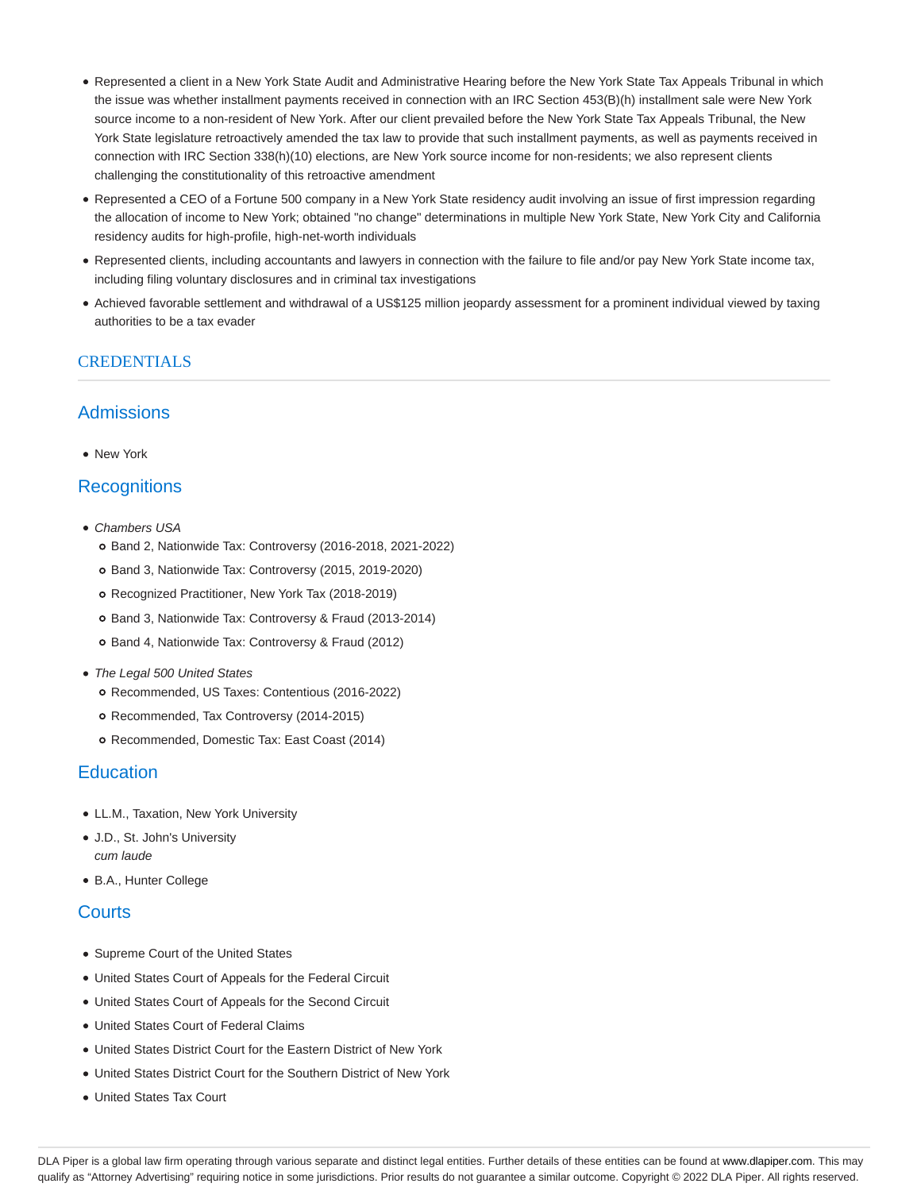- Represented a client in a New York State Audit and Administrative Hearing before the New York State Tax Appeals Tribunal in which the issue was whether installment payments received in connection with an IRC Section 453(B)(h) installment sale were New York source income to a non-resident of New York. After our client prevailed before the New York State Tax Appeals Tribunal, the New York State legislature retroactively amended the tax law to provide that such installment payments, as well as payments received in connection with IRC Section 338(h)(10) elections, are New York source income for non-residents; we also represent clients challenging the constitutionality of this retroactive amendment
- Represented a CEO of a Fortune 500 company in a New York State residency audit involving an issue of first impression regarding the allocation of income to New York; obtained "no change" determinations in multiple New York State, New York City and California residency audits for high-profile, high-net-worth individuals
- Represented clients, including accountants and lawyers in connection with the failure to file and/or pay New York State income tax, including filing voluntary disclosures and in criminal tax investigations
- Achieved favorable settlement and withdrawal of a US\$125 million jeopardy assessment for a prominent individual viewed by taxing authorities to be a tax evader

## CREDENTIALS

## Admissions

• New York

## **Recognitions**

- Chambers USA
	- Band 2, Nationwide Tax: Controversy (2016-2018, 2021-2022)
	- Band 3, Nationwide Tax: Controversy (2015, 2019-2020)
	- o Recognized Practitioner, New York Tax (2018-2019)
	- Band 3, Nationwide Tax: Controversy & Fraud (2013-2014)
	- o Band 4, Nationwide Tax: Controversy & Fraud (2012)
- The Legal 500 United States
	- Recommended, US Taxes: Contentious (2016-2022)
	- Recommended, Tax Controversy (2014-2015)
	- Recommended, Domestic Tax: East Coast (2014)

## **Education**

- LL.M., Taxation, New York University
- J.D., St. John's University cum laude
- B.A., Hunter College

## **Courts**

- Supreme Court of the United States
- United States Court of Appeals for the Federal Circuit
- United States Court of Appeals for the Second Circuit
- United States Court of Federal Claims
- United States District Court for the Eastern District of New York
- United States District Court for the Southern District of New York
- United States Tax Court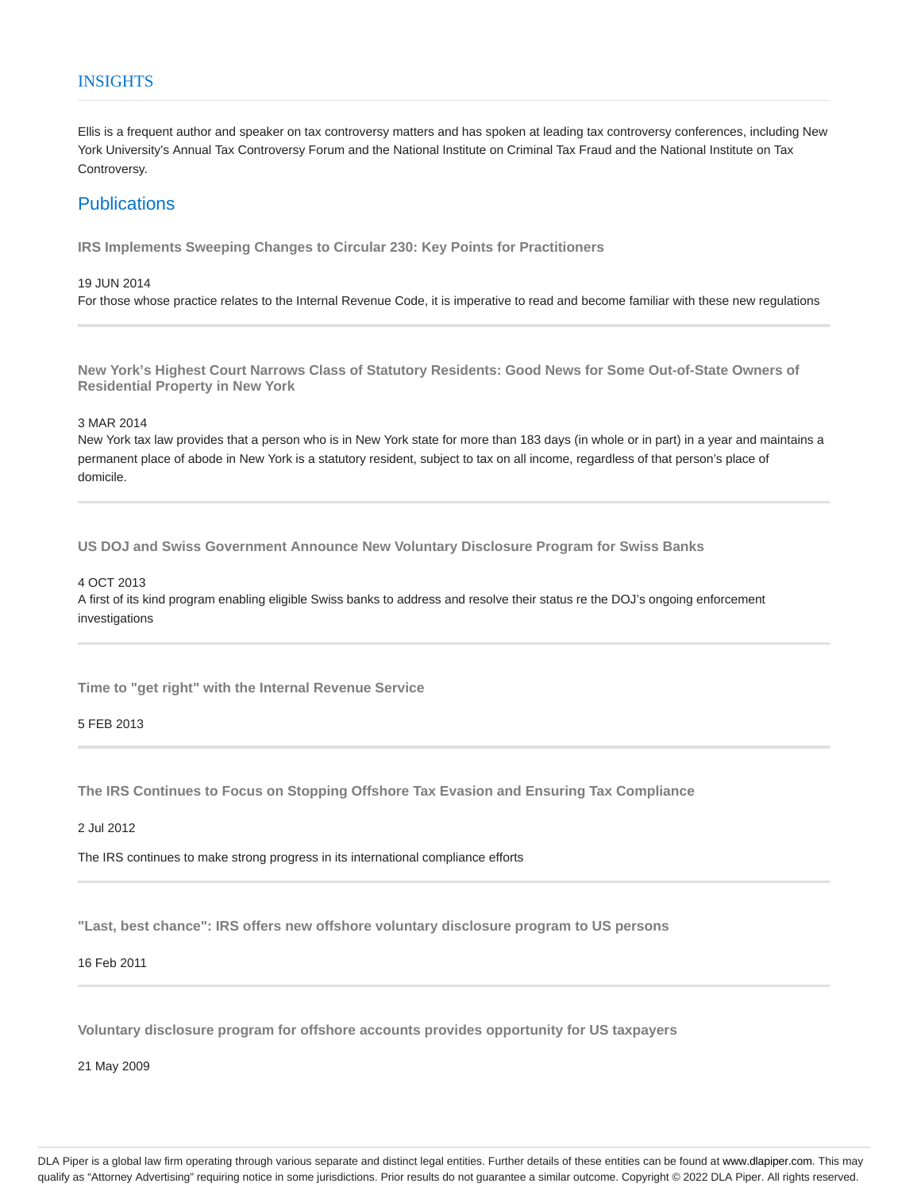### **INSIGHTS**

Ellis is a frequent author and speaker on tax controversy matters and has spoken at leading tax controversy conferences, including New York University's Annual Tax Controversy Forum and the National Institute on Criminal Tax Fraud and the National Institute on Tax Controversy.

## **Publications**

**IRS Implements Sweeping Changes to Circular 230: Key Points for Practitioners**

#### 19 JUN 2014

For those whose practice relates to the Internal Revenue Code, it is imperative to read and become familiar with these new regulations

**New York's Highest Court Narrows Class of Statutory Residents: Good News for Some Out-of-State Owners of Residential Property in New York**

3 MAR 2014

New York tax law provides that a person who is in New York state for more than 183 days (in whole or in part) in a year and maintains a permanent place of abode in New York is a statutory resident, subject to tax on all income, regardless of that person's place of domicile.

**US DOJ and Swiss Government Announce New Voluntary Disclosure Program for Swiss Banks**

#### 4 OCT 2013

A first of its kind program enabling eligible Swiss banks to address and resolve their status re the DOJ's ongoing enforcement investigations

**Time to "get right" with the Internal Revenue Service**

#### 5 FEB 2013

**The IRS Continues to Focus on Stopping Offshore Tax Evasion and Ensuring Tax Compliance**

2 Jul 2012

The IRS continues to make strong progress in its international compliance efforts

**"Last, best chance": IRS offers new offshore voluntary disclosure program to US persons**

#### 16 Feb 2011

**Voluntary disclosure program for offshore accounts provides opportunity for US taxpayers**

21 May 2009

DLA Piper is a global law firm operating through various separate and distinct legal entities. Further details of these entities can be found at www.dlapiper.com. This may qualify as "Attorney Advertising" requiring notice in some jurisdictions. Prior results do not guarantee a similar outcome. Copyright @ 2022 DLA Piper. All rights reserved.